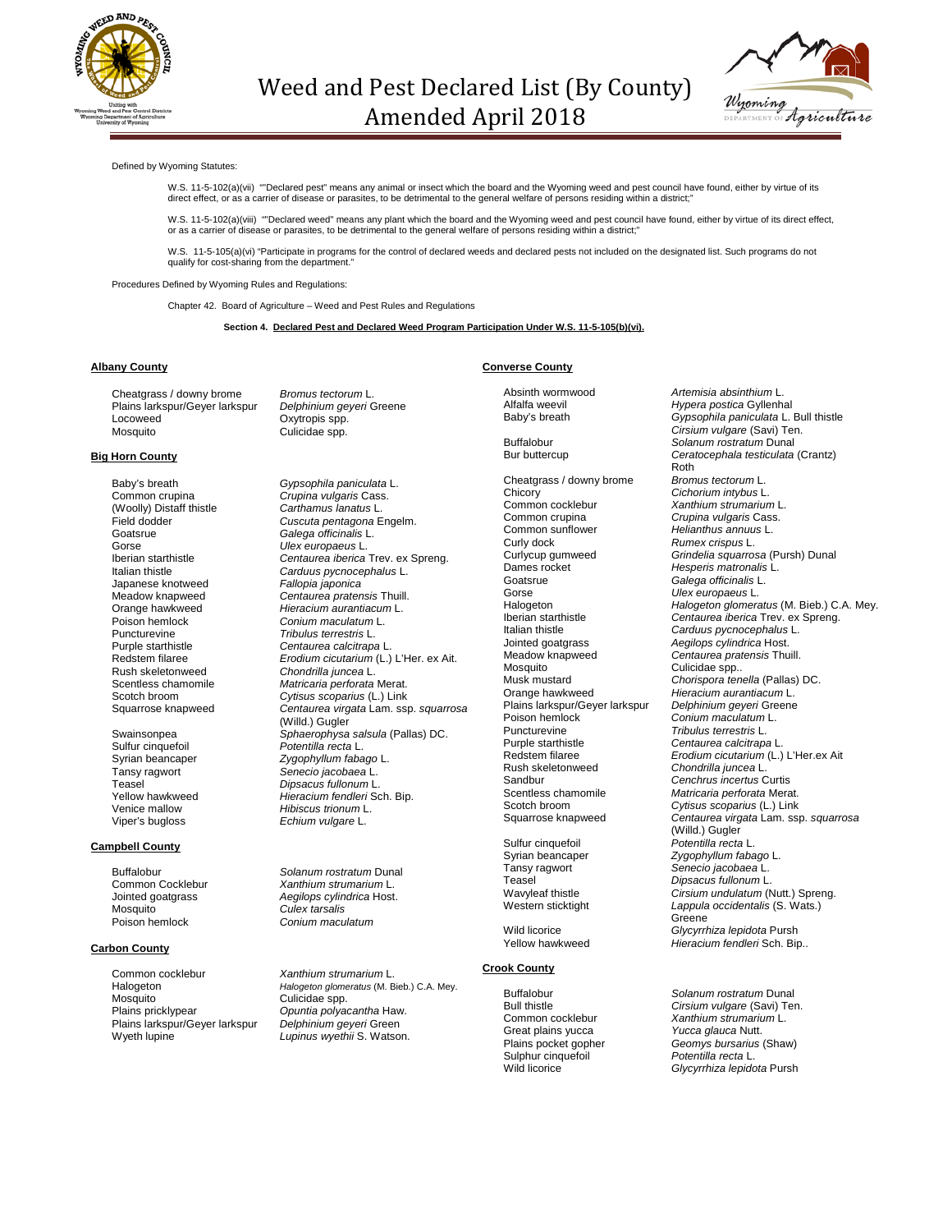



#### Defined by Wyoming Statutes:

W.S. 11-5-102(a)(vii) ""Declared pest" means any animal or insect which the board and the Wyoming weed and pest council have found, either by virtue of its<br>direct effect, or as a carrier of disease or parasites, to be det

W.S. 11-5-102(a)(viii) ""Declared weed" means any plant which the board and the Wyoming weed and pest council have found, either by virtue of its direct effect,<br>or as a carrier of disease or parasites, to be detrimental t

W.S. 11-5-105(a)(vi) "Participate in programs for the control of declared weeds and declared pests not included on the designated list. Such programs do not qualify for cost-sharing from the department.'

Procedures Defined by Wyoming Rules and Regulations:

Chapter 42. Board of Agriculture – Weed and Pest Rules and Regulations

**Section 4. Declared Pest and Declared Weed Program Participation Under W.S. 11-5-105(b)(vi).**

### **Albany County**

Cheatgrass / downy brome *Bromus tectorum* L. Plains larkspur/Geyer larkspur<br>Locoweed Locoweed Oxytropis spp.<br>
Mosquito Culicidae spp.

### **Big Horn County**

(Woolly) Distaff thistle<br>Field dodder Goatsrue *Galega officinalis* L. Gorse *Ulex europaeus* L. Japanese knotweed<br>Meadow knapweed Poison hemlock *Conium maculatum* L. Puncturevine *Tribulus terrestris* L. Rush skeletonweed *Chondrilla juncea* L.

Sulfur cinquefoil *Potentilla recta* L.

### **Campbell County**

Mosquito *Culex tarsalis*

### **Carbon County**

Common cocklebur *Xanthium strumarium* L. Mosquito Culicidae spp.<br>
Plains pricklypear Communical Dentis polya Plains larkspur/Geyer larkspur<br>Wyeth lupine

Culicidae spp.

Baby's breath *Gypsophila paniculata* L.<br>
Common crupina *Crupina vulgaris* Cass. Crupina *vulgaris* Cass.<br>Carthamus lanatus L. Field dodder *Cuscuta pentagona* Engelm. Iberian starthistle *Centaurea iberica* Trev. ex Spreng. Carduus pycnocephalus L.<br>Fallopia japonica Meadow knapweed *Centaurea pratensis* Thuill. Orange hawkweed *Hieracium aurantiacum* L. Purple starthistle *Centaurea calcitrapa* L. Redstem filaree *Erodium cicutarium* (L.) L'Her. ex Ait. Matricaria perforata Merat. Scotch broom *Cytisus scoparius* (L.) Link Squarrose knapweed *Centaurea virgata* Lam. ssp. *squarrosa* (Willd.) Gugler Swainsonpea *Sphaerophysa salsula* (Pallas) DC. Syrian beancaper *Zygophyllum fabago* L. Tansy ragwort *Senecio jacobaea* L. Teasel *Dipsacus fullonum* L. Yellow hawkweed *Hieracium fendleri* Sch. Bip. Venice mallow *Hibiscus trionum* L. Echium vulgare L.

Buffalobur *Solanum rostratum* Dunal<br>Common Cocklebur *Xanthium strumarium* L. Common Cocklebur *Xanthium strumarium* L. Jointed goatgrass *Aegilops cylindrica* Host. Poison hemlock *Conium maculatum*

Halogeton *Halogeton glomeratus* (M. Bieb.) C.A. Mey. **Opuntia polyacantha Haw.**<br>*Delphinium geyeri* Green Lupinus wyethii S. Watson.

### **Converse County**

Cheatgrass / downy brome<br>Chicory Chicory *Cichorium intybus* L. Common cocklebur *Xanthium strumarium* L. Common crupina *Crupina vulgaris* Cass. Common sunflower *Helianthus annuus* L. Curly dock *Rumex crispus* L. Dames rocket *Hesperis matronalis* L. Goatsrue *Galega officinalis* L. Gorse *Ulex europaeus* L. Italian thistle *Carduus pycnocephalus* L. Jointed goatgrass *Aegilops cylindrica* Host. Meadow knapweed *Centaurea pratensis* Thuill. Mosquito Culicidae spp.. Plains larkspur/Geyer larkspur<br>Poison hemlock Poison hemlock *Conium maculatum* L. Puncturevine *Tribulus terrestris* L. Purple starthistle *Centaurea calcitrapa* L. Rush skeletonweed *Chondrilla juncea* L. Sandbur *Cenchrus incertus* Curtis Scentless chamomile *Matricaria perforata* Merat. Scotch broom *Cytisus scoparius* (L.) Link Sulfur cinquefoil<br>Syrian beancaper

## **Crook County**

Great plains yucca<br>Plains pocket gopher Sulphur cinquefoil *Potentilla recta* L.

Absinth wormwood *Artemisia absinthium* L. Alfalfa weevil *Hypera postica* Gyllenhal Gypsophila paniculata L. Bull thistle *Cirsium vulgare* (Savi) Ten. Buffalobur *Solanum rostratum* Dunal Bur buttercup *Ceratocephala testiculata* (Crantz) Roth<br>Bromus tectorum L. Curlycup gumweed *Grindelia squarrosa* (Pursh) Dunal Halogeton *Halogeton glomeratus* (M. Bieb.) C.A. Mey. Iberian starthistle *Centaurea iberica* Trev. ex Spreng. Musk mustard *Chorispora tenella* (Pallas) DC. Hieracium aurantiacum L.<br>Delphinium geyeri Greene Redstem filaree *Erodium cicutarium* (L.) L'Her.ex Ait Squarrose knapweed *Centaurea virgata* Lam. ssp. *squarrosa* (Willd.) Gugler<br>Potentilla recta L. Syrian beancaper *Zygophyllum fabago* L. Senecio *jacobaea* L. Teasel *Dipsacus fullonum* L. Wavyleaf thistle *Cirsium undulatum* (Nutt.) Spreng. Lappula occidentalis (S. Wats.) Greene Wild licorice *Glycyrrhiza lepidota* Pursh Hieracium fendleri Sch. Bip..

Buffalobur *Solanum rostratum* Dunal Bull thistle *Cirsium vulgare* (Savi) Ten. *Xanthium strumarium L.*<br>*Yucca glauca* Nutt. Plains pocket gopher *Geomys bursarius* (Shaw) Glycyrrhiza lepidota Pursh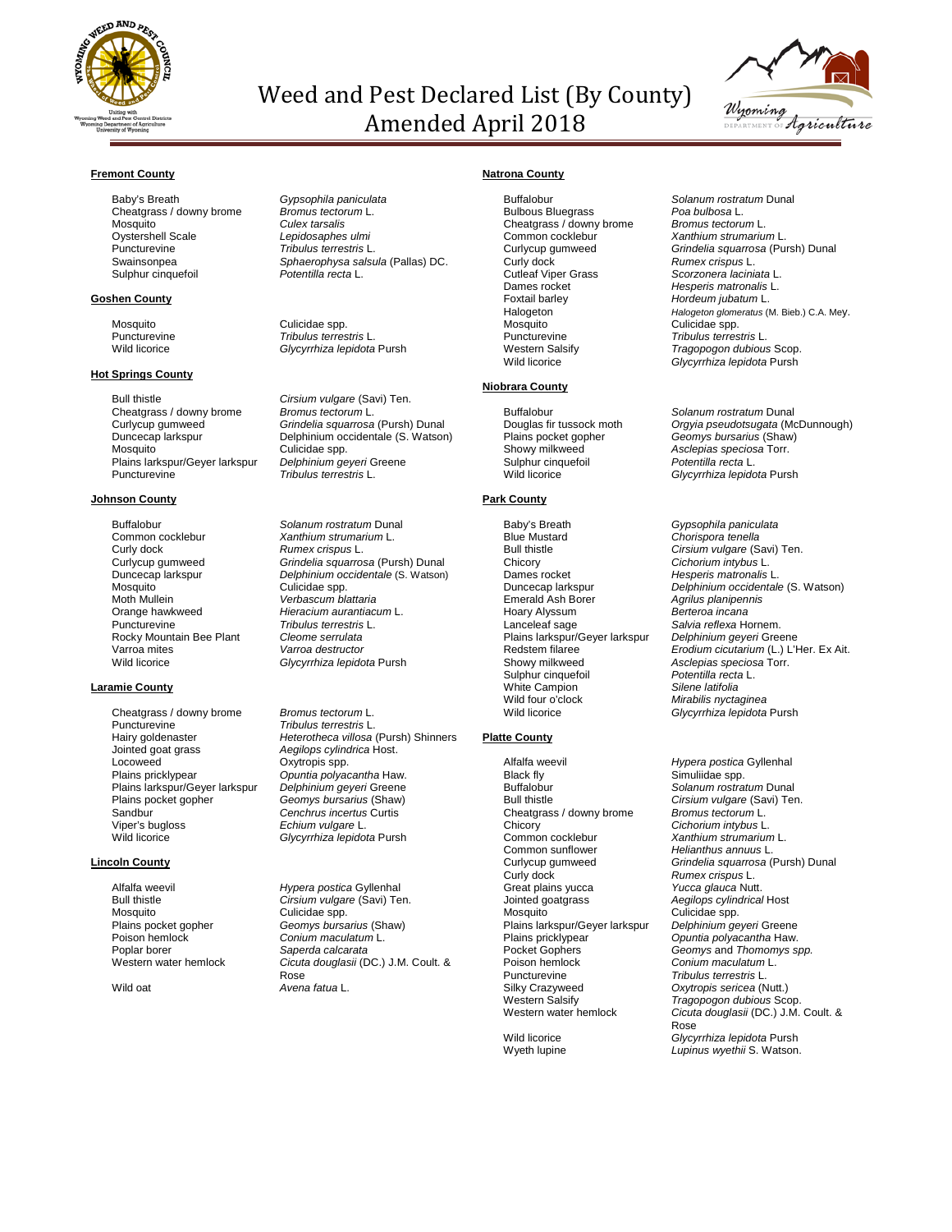

# Weed and Pest Declared List (By County) Amended April 2018



# **Fremont County**

Baby's Breath *Gypsophila paniculata* Cheatgrass / downy brome Mosquito *Culex tarsalis* Oystershell Scale *Lepidosaphes ulmi* Puncturevine *Tribulus terrestris* L.  $S$ ulphur cinquefoil

## **Goshen County**

# **Hot Springs County**

Bull thistle **Cirsium vulgare** (Savi) Ten.<br>Cheatgrass / downy brome *Bromus tectorum* L. Cheatgrass / downy brome<br>Curlycup gumweed Mosquito **Culicidae** spp. Plains larkspur/Geyer larkspur *Delphinium geyeri* Greene Puncturevine *Tribulus terrestris* L.

### **Johnson County**

Buffalobur *Solanum rostratum* Dunal<br>Common cocklebur *Xanthium strumarium* L. Common cocklebur *Xanthium strumarium* L. Curly dock *Rumex crispus* L. Mosquito Culicidae spp. Moth Mullein *Verbascum blattaria* Orange hawkweed *Hieracium aurantiacum* L. Rocky Mountain Bee Plant<br>Varroa mites Varroa mites *Varroa destructor*

# **Laramie County**

Cheatgrass / downy brome *Bromus tectorum* L. Puncturevine *Tribulus terrestris* L. Jointed goat grass *Aegilops cylindrica* Host. Locoweed Dxytropis spp.<br>
Plains pricklypear
Definition of the Countia polyacy Plains larkspur/Geyer larkspur<br>Plains pocket gopher Plains pocket gopher *Geomys bursarius* (Shaw) Sandbur **Cenchrus incertus Curtis**<br>
Viper's bugloss *Centum vulgare* L. Viper's bugloss *Echium vulgare* L.

### **Lincoln County**

Mosquito Culicidae spp. Poison hemlock *Conium maculatum* L. Poplar borer *Saperda calcarata*

# Sphaerophysa salsula (Pallas) DC.<br>Potentilla recta L.

Mosquito<br>
Puncturevine<br>
Puncturevine<br>
Tribulus terres Puncturevine *Tribulus terrestris* L. Glycyrrhiza lepidota Pursh

Curlycup gumweed *Grindelia squarrosa* (Pursh) Dunal Duncecap larkspur Delphinium occidentale (S. Watson)

Curlycup gumweed *Grindelia squarrosa* (Pursh) Dunal Duncecap larkspur *Delphinium occidentale* (S. Watson) **Tribulus terrestris L.<br>Cleome serrulata** Glycyrrhiza lepidota Pursh

Hairy goldenaster *Heterotheca villosa* (Pursh) Shinners **Opuntia polyacantha Haw.<br>Delphinium geyeri Greene** Wild licorice *Glycyrrhiza lepidota* Pursh

Alfalfa weevil *Hypera postica* Gyllenhal Bull thistle *Cirsium vulgare* (Savi) Ten. Plains pocket gopher *Geomys bursarius* (Shaw) Western water hemlock *Cicuta douglasii* (DC.) J.M. Coult. & Rose Wild oat *Avena fatua* L.

# **Natrona County**

Buffalobur *Solanum rostratum* Dunal Bulbous Bluegrass *Poa bulbosa* L. Cheatgrass / downy brome<br>Common cocklebur Common cocklebur *Xanthium strumarium* L. Curly dock *Rumex crispus* L. Cutleaf Viper Grass *Scorzonera laciniata* L. Dames rocket *Hesperis matronalis* L. Foxtail barley *Hordeum jubatum* L. Mosquito Culicidae spp. Puncturevine *Tribulus terrestris* L.

# **Niobrara County**

Sulphur cinquefoil<br>Wild licorice

# **Park County**

Blue Mustard *Chorispora tenella* Bull thistle *Cirsium vulgare* (Savi) Ten. Chicory *Cichorium intybus* L. Dames rocket *Hesperis matronalis* L. Emerald Ash Borer *Agrilus planipennis* Hoary Alyssum *Berteroa incana* Plains larkspur/Geyer larkspur *Delphinium geyeri* Greene Sulphur cinquefoil *Potentilla recta* L. **White Campion<br>Wild four o'clock** Wild four o'clock *Mirabilis nyctaginea*

# **Platte County**

Alfalfa weevil *Hypera postica* Gyllenhal Black fly **Simuliidae spp.**<br>Buffalobur Solanum rostra Buffalobur *Solanum rostratum* Dunal Cheatgrass / downy brome<br>Chicory Chicory *Cichorium intybus* L. Common cocklebur *Xanthium strumarium* L. Common sunflower *Helianthus annuus* L. Great plains yucca<br>Jointed goatgrass Jointed goatgrass *Aegilops cylindrical* Host medania<br>Plains larkspur/Geyer larkspur<br>Plains pricklypear Plains pricklypear *Opuntia polyacantha* Haw. Pocket Gophers *Geomys* and *Thomomys spp.* Poison hemlock *Conium maculatum* L. Puncturevine *Tribulus terrestris* L. Silky Crazyweed *Oxytropis sericea* (Nutt.) Western Salsify *Tragopogon dubious* Scop.

Curlycup gumweed *Grindelia squarrosa* (Pursh) Dunal Halogeton *Halogeton glomeratus* (M. Bieb.) C.A. Mey. Western Salsify *Tragopogon dubious* Scop. Glycyrrhiza lepidota Pursh

Buffalobur *Solanum rostratum* Dunal Douglas fir tussock moth *Orgyia pseudotsugata* (McDunnough)<br>Plains pocket gopher *Geomys bursarius* (Shaw)<br>Showy milkweed *Asclepias speciosa* Torr. Plains pocket gopher *Geomys bursarius* (Shaw) Asclepias speciosa Torr.<br>Potentilla recta L. Glycyrrhiza lepidota Pursh

Baby's Breath *Gypsophila paniculata* Duncecap larkspur *Delphinium occidentale* (S. Watson) Salvia reflexa Hornem.<br>*Delphinium geyeri* Greene Redstem filaree **Erodium cicutarium** (L.) L'Her. Ex Ait.<br>Redstem filaree *Erodium cicutarium* (L.) L'Her. Ex Ait.<br>Showy milkweed *Asclepias speciosa* Torr. Asclepias speciosa Torr.<br>*Potentilla recta* L. Glycyrrhiza lepidota Pursh

Cirsium vulgare (Savi) Ten.<br>Bromus tectorum L. Curlycup gumweed *Grindelia squarrosa* (Pursh) Dunal **Rumex crispus L.<br>Yucca glauca Nutt.** Culicidae spp.<br>Delphinium geyeri Greene Western water hemlock *Cicuta douglasii* (DC.) J.M. Coult. & Rose Wild licorice *Glycyrrhiza lepidota* Pursh Lupinus wyethii S. Watson.